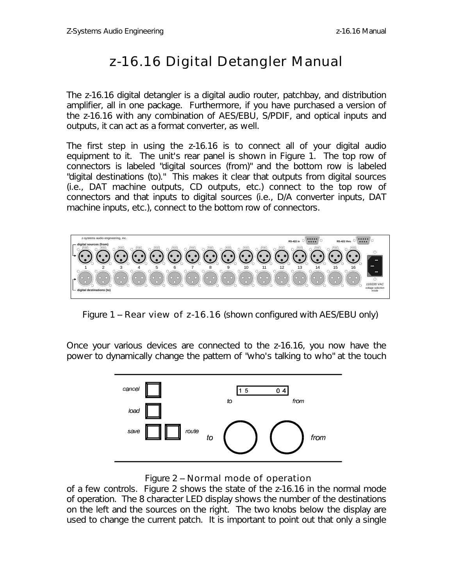## *z-16.16 Digital Detangler Manual*

The z-16.16 digital detangler is a digital audio router, patchbay, and distribution amplifier, all in one package. Furthermore, if you have purchased a version of the z-16.16 with any combination of AES/EBU, S/PDIF, and optical inputs and outputs, it can act as a format converter, as well.

The first step in using the z-16.16 is to connect all of your digital audio equipment to it. The unit's rear panel is shown in Figure 1. The top row of connectors is labeled "digital sources (from)" and the bottom row is labeled "digital destinations (to)." This makes it clear that outputs from digital sources (i.e., DAT machine outputs, CD outputs, etc.) connect to the top row of connectors and that inputs to digital sources (i.e., D/A converter inputs, DAT machine inputs, etc.), connect to the bottom row of connectors.



Figure 1 -- Rear view of z-16.16 (shown configured with AES/EBU only)

Once your various devices are connected to the z-16.16, you now have the power to dynamically change the pattern of "who's talking to who" at the touch



Figure 2 -- Normal mode of operation

of a few controls. Figure 2 shows the state of the z-16.16 in the normal mode of operation. The 8 character LED display shows the number of the destinations on the left and the sources on the right. The two knobs below the display are used to change the current patch. It is important to point out that only a single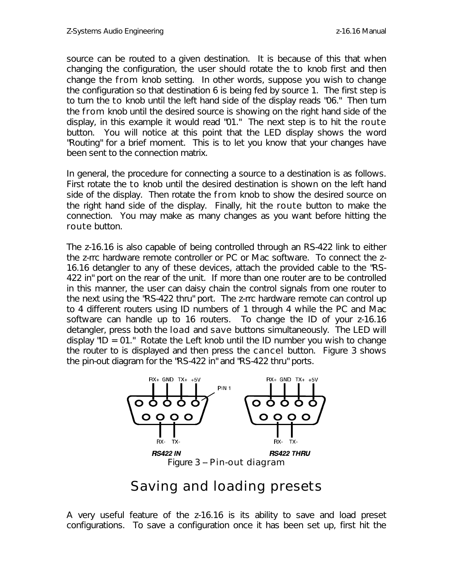source can be routed to a given destination. It is because of this that when changing the configuration, the user should rotate the to knob first and then change the from knob setting. In other words, suppose you wish to change the configuration so that destination 6 is being fed by source 1. The first step is to turn the to knob until the left hand side of the display reads "06." Then turn the from knob until the desired source is showing on the right hand side of the display, in this example it would read "01." The next step is to hit the route button. You will notice at this point that the LED display shows the word "Routing" for a brief moment. This is to let you know that your changes have been sent to the connection matrix.

In general, the procedure for connecting a source to a destination is as follows. First rotate the to knob until the desired destination is shown on the left hand side of the display. Then rotate the from knob to show the desired source on the right hand side of the display. Finally, hit the route button to make the connection. You may make as many changes as you want before hitting the route button.

The z-16.16 is also capable of being controlled through an RS-422 link to either the z-rrc hardware remote controller or PC or Mac software. To connect the z-16.16 detangler to any of these devices, attach the provided cable to the "RS-422 in" port on the rear of the unit. If more than one router are to be controlled in this manner, the user can daisy chain the control signals from one router to the next using the "RS-422 thru" port. The z-rrc hardware remote can control up to 4 different routers using ID numbers of 1 through 4 while the PC and Mac software can handle up to 16 routers. To change the ID of your z-16.16 detangler, press both the load and save buttons simultaneously. The LED will display "ID = 01." Rotate the Left knob until the ID number you wish to change the router to is displayed and then press the cancel button. Figure 3 shows the pin-out diagram for the "RS-422 in" and "RS-422 thru" ports.



## *Saving and loading presets*

A very useful feature of the z-16.16 is its ability to save and load preset configurations. To save a configuration once it has been set up, first hit the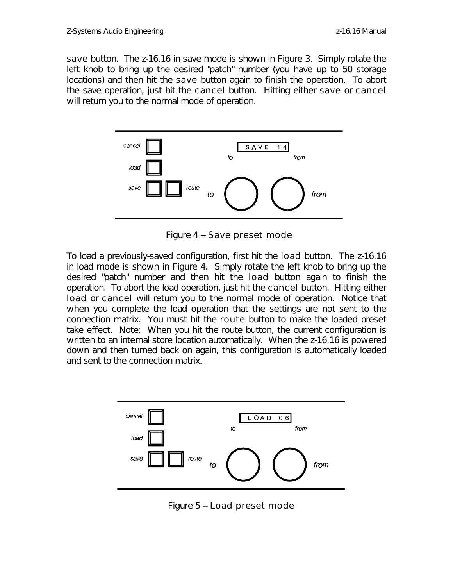save button. The z-16.16 in save mode is shown in Figure 3. Simply rotate the left knob to bring up the desired "patch" number (you have up to 50 storage locations) and then hit the save button again to finish the operation. To abort the save operation, just hit the cancel button. Hitting either save or cancel will return you to the normal mode of operation.



Figure 4 -- Save preset mode

To load a previously-saved configuration, first hit the load button. The z-16.16 in load mode is shown in Figure 4. Simply rotate the left knob to bring up the desired "patch" number and then hit the load button again to finish the operation. To abort the load operation, just hit the cancel button. Hitting either load or cancel will return you to the normal mode of operation. Notice that when you complete the load operation that the settings are not sent to the connection matrix. You must hit the route button to make the loaded preset take effect. Note: When you hit the route button, the current configuration is written to an internal store location automatically. When the z-16.16 is powered down and then turned back on again, this configuration is automatically loaded and sent to the connection matrix.



Figure 5 -- Load preset mode